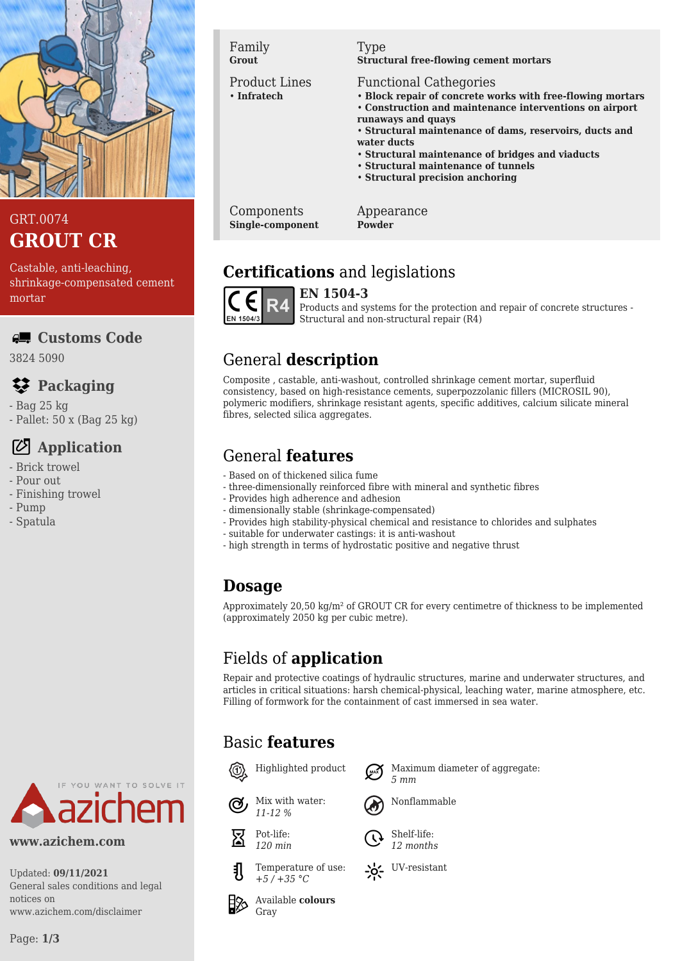

#### GRT.0074 **GROUT CR**

Castable, anti-leaching, shrinkage-compensated cement mortar

#### **Customs Code**

3824 5090

# **Packaging**

- Bag 25 kg
- Pallet: 50 x (Bag 25 kg)

# **Application**

- Brick trowel
- Pour out
- Finishing trowel
- Pump
- Spatula



**www.azichem.com**

Updated: **09/11/2021** General sales conditions and legal notices on www.azichem.com/disclaimer

Family **Grout**

Product Lines • **Infratech**

#### Type

**Structural free-flowing cement mortars**

#### Functional Cathegories

- **Block repair of concrete works with free-flowing mortars**
- **Construction and maintenance interventions on airport**
- **runaways and quays**
- **Structural maintenance of dams, reservoirs, ducts and water ducts**
- **Structural maintenance of bridges and viaducts**
- **Structural maintenance of tunnels**
- **Structural precision anchoring**

Components **Single-component** Appearance **Powder**

# **Certifications** and legislations



**EN 1504-3** Products and systems for the protection and repair of concrete structures - Structural and non-structural repair (R4)

# General **description**

Composite , castable, anti-washout, controlled shrinkage cement mortar, superfluid consistency, based on high-resistance cements, superpozzolanic fillers (MICROSIL 90), polymeric modifiers, shrinkage resistant agents, specific additives, calcium silicate mineral fibres, selected silica aggregates.

# General **features**

- Based on of thickened silica fume
- three-dimensionally reinforced fibre with mineral and synthetic fibres
- Provides high adherence and adhesion
- dimensionally stable (shrinkage-compensated)
- Provides high stability-physical chemical and resistance to chlorides and sulphates
- suitable for underwater castings: it is anti-washout
- high strength in terms of hydrostatic positive and negative thrust

## **Dosage**

Approximately 20,50 kg/m² of GROUT CR for every centimetre of thickness to be implemented (approximately 2050 kg per cubic metre).

# Fields of **application**

Repair and protective coatings of hydraulic structures, marine and underwater structures, and articles in critical situations: harsh chemical-physical, leaching water, marine atmosphere, etc. Filling of formwork for the containment of cast immersed in sea water.

## Basic **features**

Mix with water: *11-12 %*



Pot-life: *120 min*



Highlighted product  $\bigcap_{m\infty}$  Maximum diameter of aggregate:



Shelf-life: *12 months*





*+5 / +35 °C* Available **colours**

Temperature of use: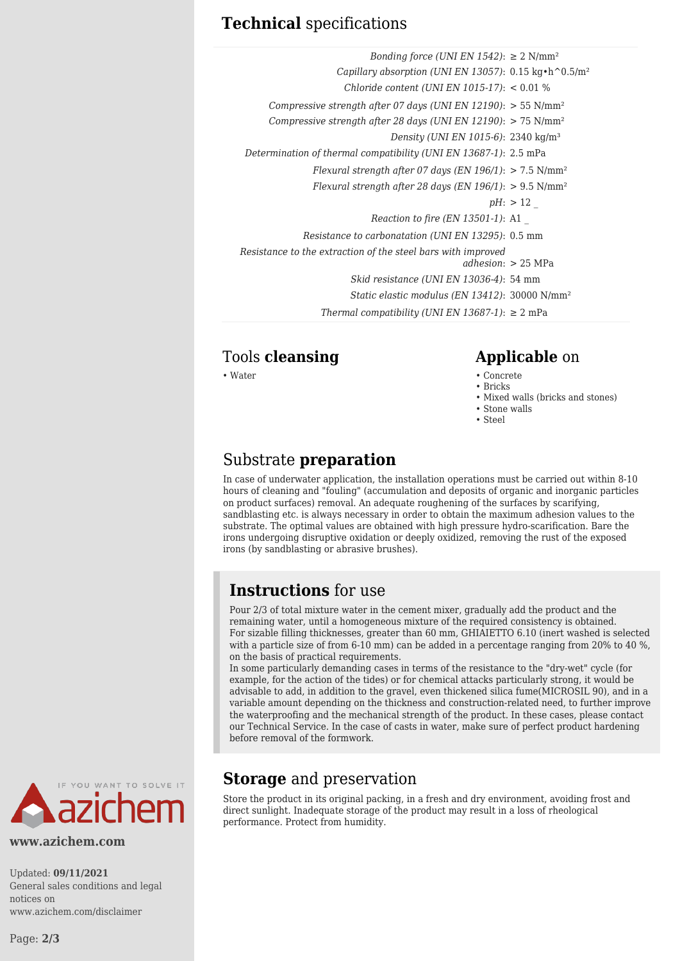#### **Technical** specifications

| Bonding force (UNI EN 1542): $\geq 2$ N/mm <sup>2</sup>                                |                    |
|----------------------------------------------------------------------------------------|--------------------|
| Capillary absorption (UNI EN 13057): $0.15 \text{ kg} \cdot \text{h}^0 0.5 \text{m}^2$ |                    |
| Chloride content (UNI EN 1015-17): $< 0.01$ %                                          |                    |
| Compressive strength after 07 days (UNI EN 12190): $>$ 55 N/mm <sup>2</sup>            |                    |
| Compressive strength after 28 days (UNI EN 12190): $> 75$ N/mm <sup>2</sup>            |                    |
| Density (UNI EN 1015-6): 2340 kg/m <sup>3</sup>                                        |                    |
| Determination of thermal compatibility (UNI EN 13687-1): 2.5 mPa                       |                    |
| Flexural strength after 07 days (EN 196/1): $> 7.5$ N/mm <sup>2</sup>                  |                    |
| Flexural strength after 28 days (EN 196/1): $> 9.5$ N/mm <sup>2</sup>                  |                    |
|                                                                                        | $pH:$ > 12         |
| Reaction to fire (EN 13501-1): A1                                                      |                    |
| Resistance to carbonatation (UNI EN 13295): 0.5 mm                                     |                    |
| Resistance to the extraction of the steel bars with improved                           | adhesion: > 25 MPa |
| Skid resistance (UNI EN 13036-4): 54 mm                                                |                    |
| Static elastic modulus (EN 13412): 30000 N/mm <sup>2</sup>                             |                    |
| Thermal compatibility (UNI EN 13687-1): $\geq 2$ mPa                                   |                    |

#### Tools **cleansing Applicable** on

#### • Water • Concrete

- Bricks
- Mixed walls (bricks and stones)
- Stone walls
- Steel

#### Substrate **preparation**

In case of underwater application, the installation operations must be carried out within 8-10 hours of cleaning and "fouling" (accumulation and deposits of organic and inorganic particles on product surfaces) removal. An adequate roughening of the surfaces by scarifying, sandblasting etc. is always necessary in order to obtain the maximum adhesion values to the substrate. The optimal values are obtained with high pressure hydro-scarification. Bare the irons undergoing disruptive oxidation or deeply oxidized, removing the rust of the exposed irons (by sandblasting or abrasive brushes).

## **Instructions** for use

Pour 2/3 of total mixture water in the cement mixer, gradually add the product and the remaining water, until a homogeneous mixture of the required consistency is obtained. For sizable filling thicknesses, greater than 60 mm, GHIAIETTO 6.10 (inert washed is selected with a particle size of from 6-10 mm) can be added in a percentage ranging from 20% to 40 %, on the basis of practical requirements.

In some particularly demanding cases in terms of the resistance to the "dry-wet" cycle (for example, for the action of the tides) or for chemical attacks particularly strong, it would be advisable to add, in addition to the gravel, even thickened silica fume(MICROSIL 90), and in a variable amount depending on the thickness and construction-related need, to further improve the waterproofing and the mechanical strength of the product. In these cases, please contact our Technical Service. In the case of casts in water, make sure of perfect product hardening before removal of the formwork.



**www.azichem.com**

Updated: **09/11/2021** General sales conditions and legal notices on www.azichem.com/disclaimer

# **Storage** and preservation

Store the product in its original packing, in a fresh and dry environment, avoiding frost and direct sunlight. Inadequate storage of the product may result in a loss of rheological performance. Protect from humidity.